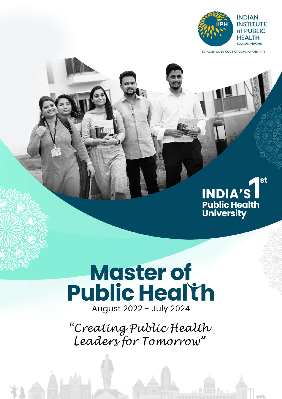

**ESTABLISHED BY GOVT. OF GUJARAT AND PHFI** 

## st **INDIA'S** Public Health<br>University

# **Master of Public Health**

August 2022 - July 2024

"Creating Public Health<br>Leaders for Tomorrow"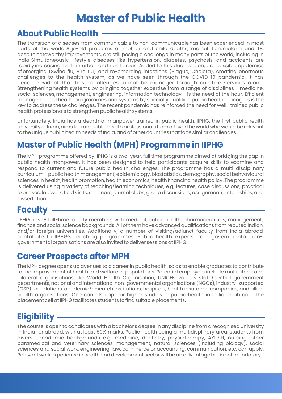## **Master of Public Health**

### **About Public Health**

The transition of diseases from communicable to non-communicable has been experienced in most parts of the world. Age-old problems of mother and child deaths, malnutrition, malaria and TB, despite noteworthy improvements, are still posing a challenge in many parts of the world, including in India. Simultaneously, lifestyle diseases like hypertension, diabetes, psychosis, and accidents are rapidly increasing, both in urban and rural areas. Added to this dual burden, are possible epidemics of emerging (Swine flu, Bird flu) and re-emerging infections (Plague, Cholera), creating enormous challenges to the health system, as we have seen through the COVID-19 pandemic. It has become evident that these challenges cannot be managed through curative services alone. Strengthening health systems by bringing together expertise from a range of disciplines - medicine, social sciences, management, engineering, information technology - is the need of the hour. Efficient management of health programmes and systems by specially qualified public health managers is the key to address these challenges. The recent pandemic has reinforced the need for well- trained public health professionals to strengthen public health systems.

Unfortunately, India has a dearth of manpower trained in public health. IIPHG, the first public health university of India, aims to train public health professionals from all over the world who would be relevant to the unique public health needs of India, and of other countries that face similar challenges.

### **Master of Public Health (MPH) Programme in IIPHG**

The MPH programme offered by IIPHG is a two-year, full time programme aimed at bridging the gap in public health manpower. It has been designed to help participants acquire skills to examine and respond to current and future public health challenges. The programme has a multi-disciplinary curriculum - public health management, epidemiology, biostatistics, demography, social behvavioural sciences in health, health promotion, health economics, health financing health policy. The programme is delivered using a variety of teaching/learning techniques, e.g; lectures, case discussions, practical exercises, lab work, field visits, seminars, journal clubs, group discussions, assignments, internships, and dissertation.

### **Faculty**

IIPHG has 18 full-time faculty members with medical, public health, pharmaceuticals, management, finance and social science backgrounds. All of them have advanced qualifications from reputed Indian and/or foreign universities. Additionally, a number of visiting/adjunct faculty from India abroad contribute to IIPHG's teaching programmes. Public health experts from governmental nongovernmental organisations are also invited to deliver sessions at IIPHG.

### **Career Prospects after MPH**

The MPH degree opens up avenues to a career in public health, so as to enable graduates to contribute to the improvement of health and welfare of populations. Potential employers include multilateral and bilateral organisations like World Health Organisation, UNICEF, various state/central government departments, national and international non-governmental organisations (NGOs), industry-supported (CSR) foundations, academic/research institutions, hospitals, health insurance companies, and allied health organisations. One can also opt for higher studies in public health in India or abroad. The placement cell at IIPHG facilitates students to find suitable placements.

### **Eligibility**

The course is open to candidates with a bachelor's degree in any discipline from a recognised university in India or abroad, with at least 50% marks. Public health being a multidisplinary area, students from diverse academic backgrounds e.g; medicine, dentistry, physiotherapy, AYUSH, nursing, other paramedical and veterinary sciences, management, natural sciences (including biology), social sciences and social work, engineering, law, commerce or accounting, communication, etc. can apply. Relevant work experience in health and development sector will be an advantage but is not mandatory.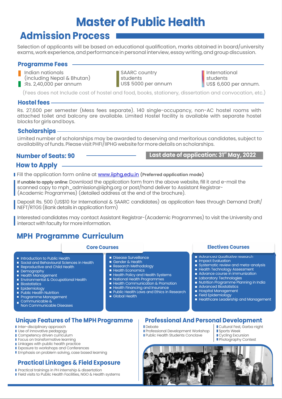## **Master of Public Health**

### **Admission Process**

Selection of applicants will be based on educational qualification, marks obtained in board/university exams, work experience, and performance in personal interview, essay writing, and group discussion.

#### **Programme Fees**

- Indian nationals
- (including Nepal & Bhutan)
- :Rs. 2,40,000 per annum

SAARC country students US\$ 5000 per annum International students US\$ 6,600 per annum.

(Fees does not Include cost of hostel and food, books, stationery, dissertation and convocation, etc.)

#### **Hostel fees**

Rs. 27,600 per semester (Mess fees separate). 140 single-occupancy, non-AC hostel rooms with attached toilet and balcony are available. Limited Hostel facility is available with separate hostel blocks for girls and boys.

#### **Scholarships**

Limited number of scholarships may be awarded to deserving and meritorious candidates, subject to availability of funds. Please visit PHFI/IIPHG website for more details on scholarships.

**Number of Seats: 90**  $\qquad \qquad$  **Last date of application: 31<sup>st</sup> May, 2022** 

#### **How to Apply**

Fill the application form online at www.iiphg.edu.in **(Preferred application mode)** 

**If unable to apply online**: Download the application form from the above website, fill it and e-mail the scanned copy to mph\_admission@iiphg.org or post/hand deliver to Assistant Registrar- (Academic Programmes) (detailed address at the end of the brochure).

Deposit Rs. 500 (US\$10 for International & SAARC candidates) as application fees through Demand Draft/ NEFT/RTGS (Bank details in application form)

Interested candidates may contact Assistant Registrar-(Academic Programmes) to visit the University and interact with faculty for more information.

### **MPH Programme Curriculum**

- **Introduction to Public Health**
- Social and Behavioural Sciences in Health
- Reproductive and Child Health
- Demography
- Health Management
- **Environmental & Occupational Health Biostatistics**
- **Epidemiology**
- **Public Health Nutrition**
- **Programme Management**
- Communicable & m.
- Non Communicable Diseases

#### **Unique Features of The MPH Programme**

- **I** Inter-disciplinary approach
- **I** Use of innovative pedagogy Competency driven curriculum
- **Focus on transformative learning**
- **Linkages with public health practice**
- **Exposure to workshops and Conferences**
- **Emphasis on problem solving, case based learning**

#### **Practical Linkages & Field Exposure**

- **Practical trainings in PH internship & dissertation**
- Field visits to Public Health Facilities, NGO & Health systems

#### Disease Surveillance

- Gender & Health
- **Research Methodology**
- **Health Economics**
- Health Policy and Health Systems
- **National Health Programmes**
- **Health Communication & Promotion**
- **Health Financing and Insurance**
- **Public Health Laws and Ethics in Research** Global Health

Debate

#### **Core Courses Electives Courses**

- Advanced Qualitative research
- **Inpact Evaluation**
- Systematic review and meta-analysis
- Health Technology Assessment
- Advance course in immunization
- **Laboratory Technologies**
- **Nutrition Programme Planning in India**
- **Advanced Biostatistics**
- **Hospital Management**
- Field Epidemiology
- Healthcare Leadership and Management
- **Professional And Personal Development**
- **Professional Development Workshop Public Health Students Conclave** Cultural Fest, Garba night **Sports Week** Cycling Excursion
	- **Photography Contest**